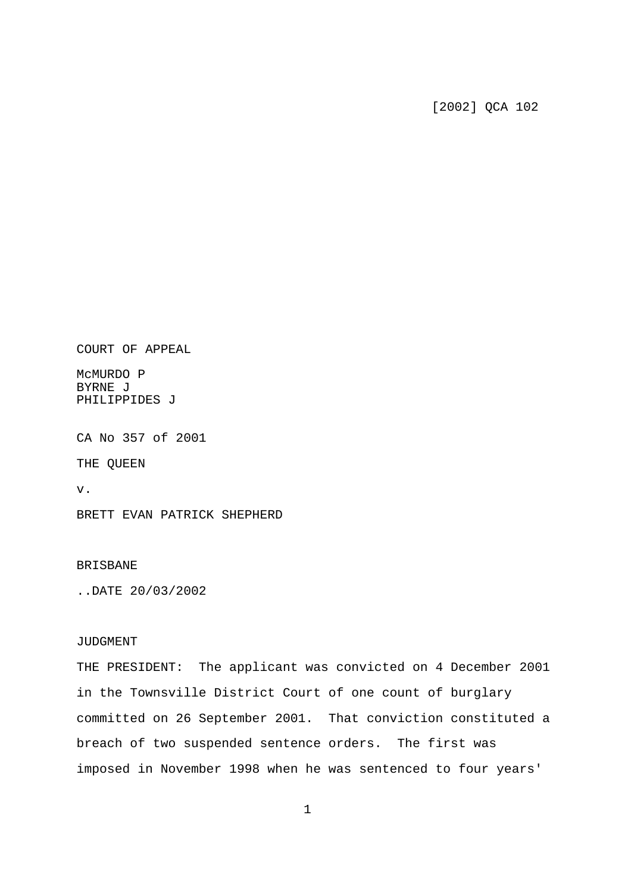## [2002] QCA 102

COURT OF APPEAL

McMURDO P BYRNE J PHILIPPIDES J

CA No 357 of 2001

THE QUEEN

v.

BRETT EVAN PATRICK SHEPHERD

## BRISBANE

..DATE 20/03/2002

## JUDGMENT

THE PRESIDENT: The applicant was convicted on 4 December 2001 in the Townsville District Court of one count of burglary committed on 26 September 2001. That conviction constituted a breach of two suspended sentence orders. The first was imposed in November 1998 when he was sentenced to four years'

1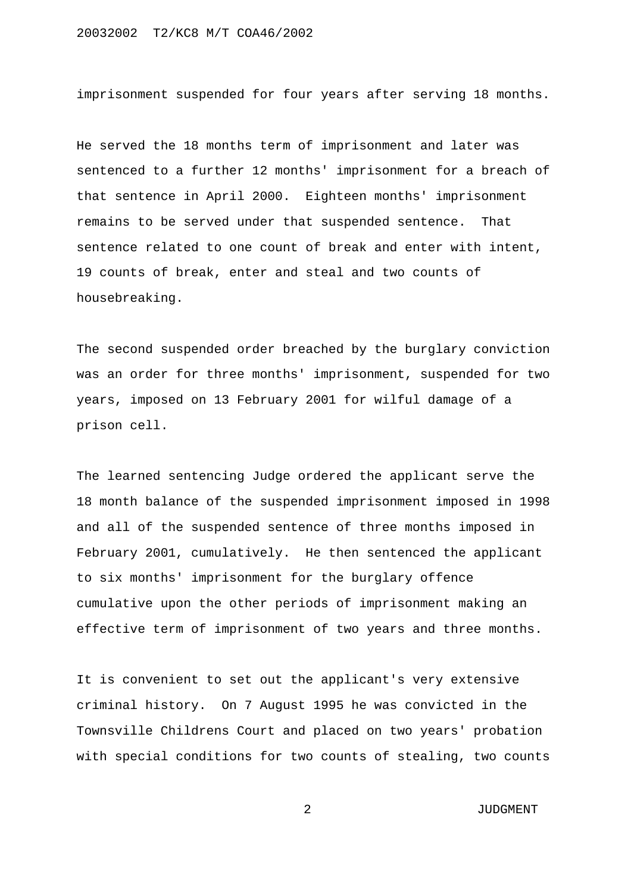imprisonment suspended for four years after serving 18 months.

He served the 18 months term of imprisonment and later was sentenced to a further 12 months' imprisonment for a breach of that sentence in April 2000. Eighteen months' imprisonment remains to be served under that suspended sentence. That sentence related to one count of break and enter with intent, 19 counts of break, enter and steal and two counts of housebreaking.

The second suspended order breached by the burglary conviction was an order for three months' imprisonment, suspended for two years, imposed on 13 February 2001 for wilful damage of a prison cell.

The learned sentencing Judge ordered the applicant serve the 18 month balance of the suspended imprisonment imposed in 1998 and all of the suspended sentence of three months imposed in February 2001, cumulatively. He then sentenced the applicant to six months' imprisonment for the burglary offence cumulative upon the other periods of imprisonment making an effective term of imprisonment of two years and three months.

It is convenient to set out the applicant's very extensive criminal history. On 7 August 1995 he was convicted in the Townsville Childrens Court and placed on two years' probation with special conditions for two counts of stealing, two counts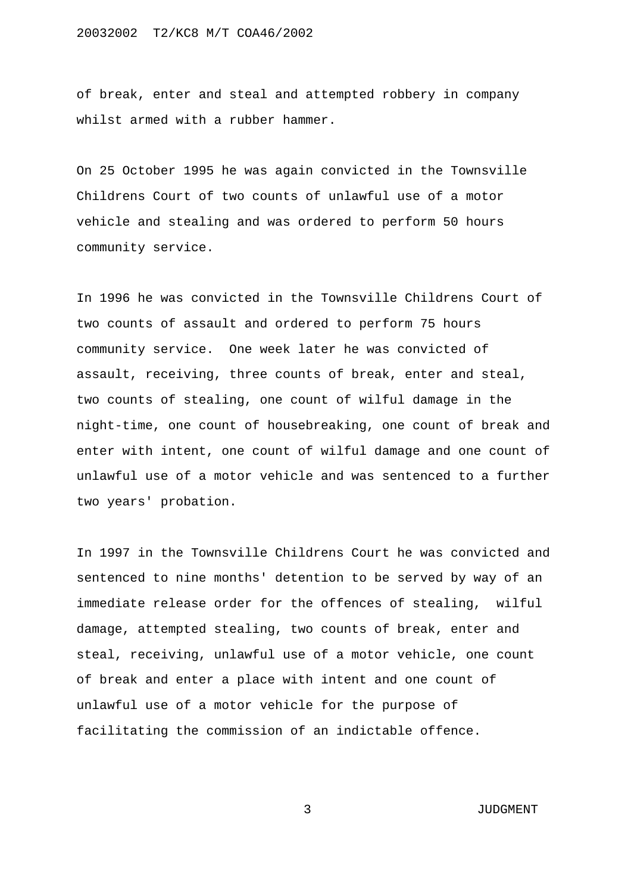of break, enter and steal and attempted robbery in company whilst armed with a rubber hammer.

On 25 October 1995 he was again convicted in the Townsville Childrens Court of two counts of unlawful use of a motor vehicle and stealing and was ordered to perform 50 hours community service.

In 1996 he was convicted in the Townsville Childrens Court of two counts of assault and ordered to perform 75 hours community service. One week later he was convicted of assault, receiving, three counts of break, enter and steal, two counts of stealing, one count of wilful damage in the night-time, one count of housebreaking, one count of break and enter with intent, one count of wilful damage and one count of unlawful use of a motor vehicle and was sentenced to a further two years' probation.

In 1997 in the Townsville Childrens Court he was convicted and sentenced to nine months' detention to be served by way of an immediate release order for the offences of stealing, wilful damage, attempted stealing, two counts of break, enter and steal, receiving, unlawful use of a motor vehicle, one count of break and enter a place with intent and one count of unlawful use of a motor vehicle for the purpose of facilitating the commission of an indictable offence.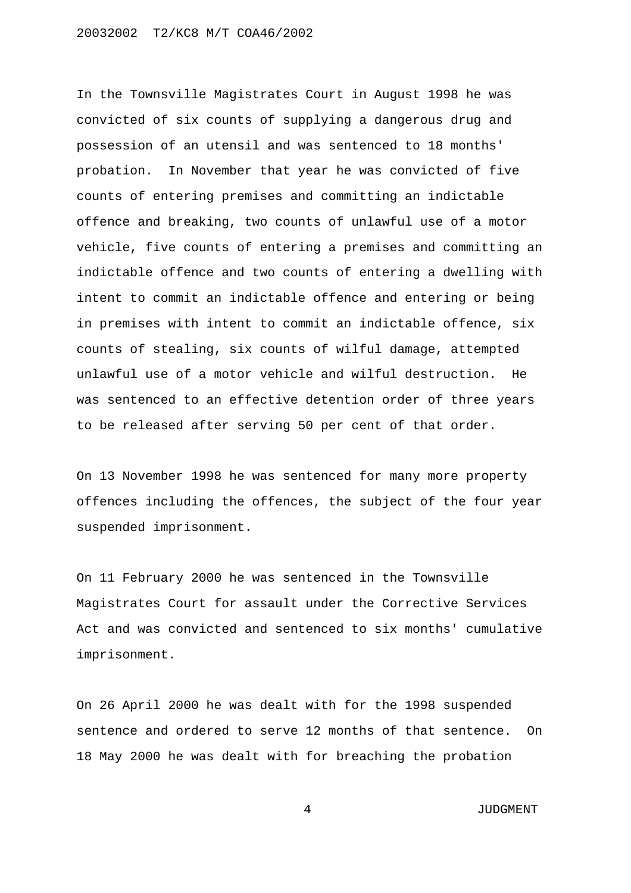In the Townsville Magistrates Court in August 1998 he was convicted of six counts of supplying a dangerous drug and possession of an utensil and was sentenced to 18 months' probation. In November that year he was convicted of five counts of entering premises and committing an indictable offence and breaking, two counts of unlawful use of a motor vehicle, five counts of entering a premises and committing an indictable offence and two counts of entering a dwelling with intent to commit an indictable offence and entering or being in premises with intent to commit an indictable offence, six counts of stealing, six counts of wilful damage, attempted unlawful use of a motor vehicle and wilful destruction. He was sentenced to an effective detention order of three years to be released after serving 50 per cent of that order.

On 13 November 1998 he was sentenced for many more property offences including the offences, the subject of the four year suspended imprisonment.

On 11 February 2000 he was sentenced in the Townsville Magistrates Court for assault under the Corrective Services Act and was convicted and sentenced to six months' cumulative imprisonment.

On 26 April 2000 he was dealt with for the 1998 suspended sentence and ordered to serve 12 months of that sentence. On 18 May 2000 he was dealt with for breaching the probation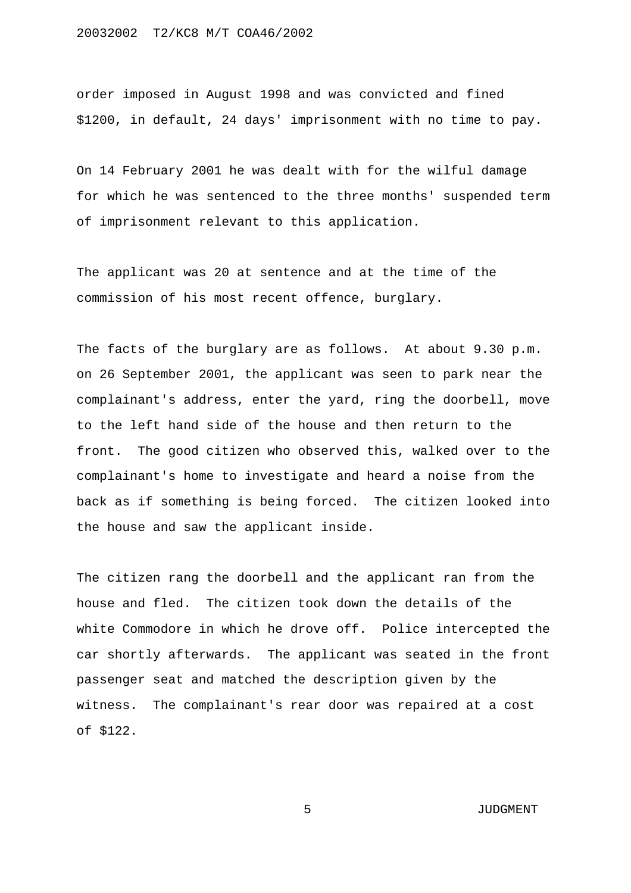order imposed in August 1998 and was convicted and fined \$1200, in default, 24 days' imprisonment with no time to pay.

On 14 February 2001 he was dealt with for the wilful damage for which he was sentenced to the three months' suspended term of imprisonment relevant to this application.

The applicant was 20 at sentence and at the time of the commission of his most recent offence, burglary.

The facts of the burglary are as follows. At about 9.30 p.m. on 26 September 2001, the applicant was seen to park near the complainant's address, enter the yard, ring the doorbell, move to the left hand side of the house and then return to the front. The good citizen who observed this, walked over to the complainant's home to investigate and heard a noise from the back as if something is being forced. The citizen looked into the house and saw the applicant inside.

The citizen rang the doorbell and the applicant ran from the house and fled. The citizen took down the details of the white Commodore in which he drove off. Police intercepted the car shortly afterwards. The applicant was seated in the front passenger seat and matched the description given by the witness. The complainant's rear door was repaired at a cost of \$122.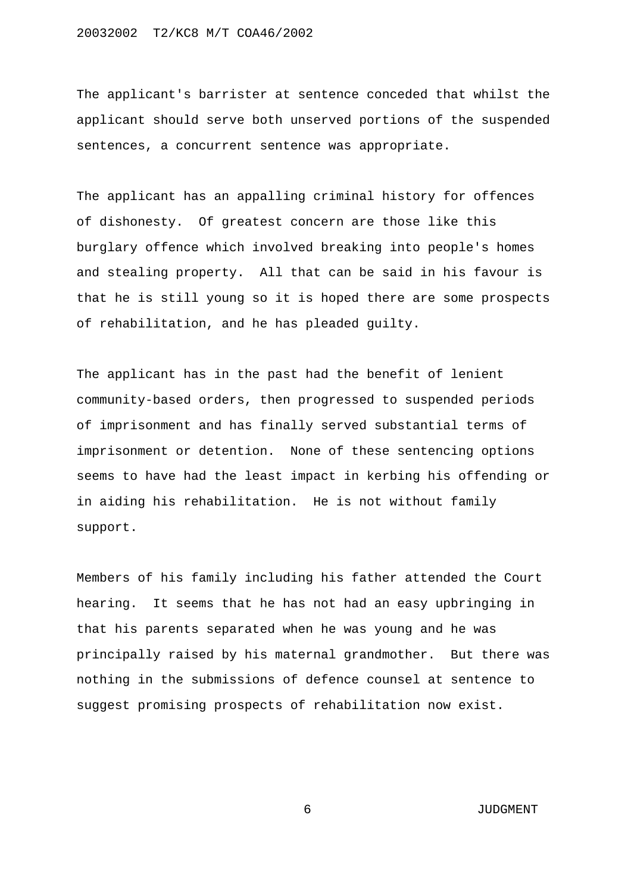The applicant's barrister at sentence conceded that whilst the applicant should serve both unserved portions of the suspended sentences, a concurrent sentence was appropriate.

The applicant has an appalling criminal history for offences of dishonesty. Of greatest concern are those like this burglary offence which involved breaking into people's homes and stealing property. All that can be said in his favour is that he is still young so it is hoped there are some prospects of rehabilitation, and he has pleaded guilty.

The applicant has in the past had the benefit of lenient community-based orders, then progressed to suspended periods of imprisonment and has finally served substantial terms of imprisonment or detention. None of these sentencing options seems to have had the least impact in kerbing his offending or in aiding his rehabilitation. He is not without family support.

Members of his family including his father attended the Court hearing. It seems that he has not had an easy upbringing in that his parents separated when he was young and he was principally raised by his maternal grandmother. But there was nothing in the submissions of defence counsel at sentence to suggest promising prospects of rehabilitation now exist.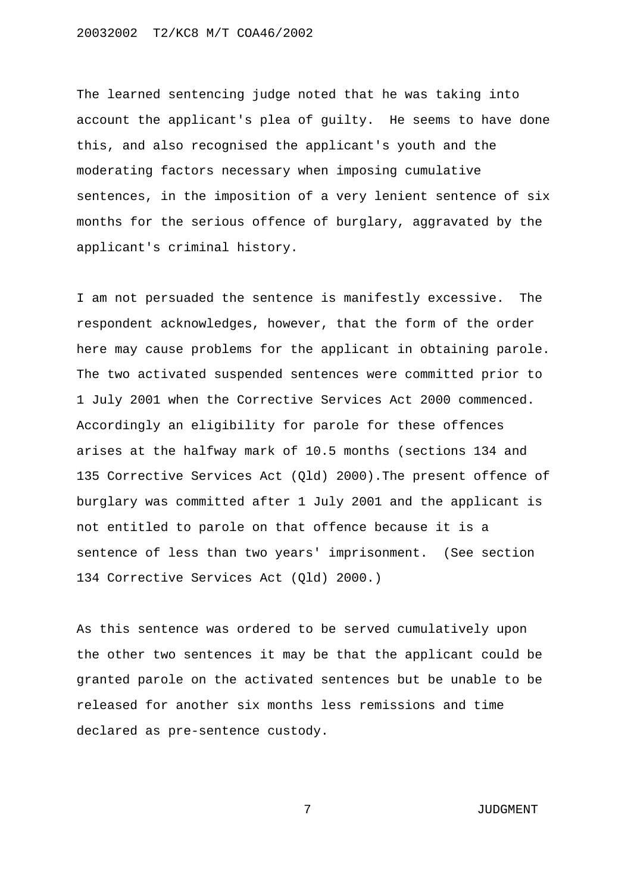The learned sentencing judge noted that he was taking into account the applicant's plea of guilty. He seems to have done this, and also recognised the applicant's youth and the moderating factors necessary when imposing cumulative sentences, in the imposition of a very lenient sentence of six months for the serious offence of burglary, aggravated by the applicant's criminal history.

I am not persuaded the sentence is manifestly excessive. The respondent acknowledges, however, that the form of the order here may cause problems for the applicant in obtaining parole. The two activated suspended sentences were committed prior to 1 July 2001 when the Corrective Services Act 2000 commenced. Accordingly an eligibility for parole for these offences arises at the halfway mark of 10.5 months (sections 134 and 135 Corrective Services Act (Qld) 2000).The present offence of burglary was committed after 1 July 2001 and the applicant is not entitled to parole on that offence because it is a sentence of less than two years' imprisonment. (See section 134 Corrective Services Act (Qld) 2000.)

As this sentence was ordered to be served cumulatively upon the other two sentences it may be that the applicant could be granted parole on the activated sentences but be unable to be released for another six months less remissions and time declared as pre-sentence custody.